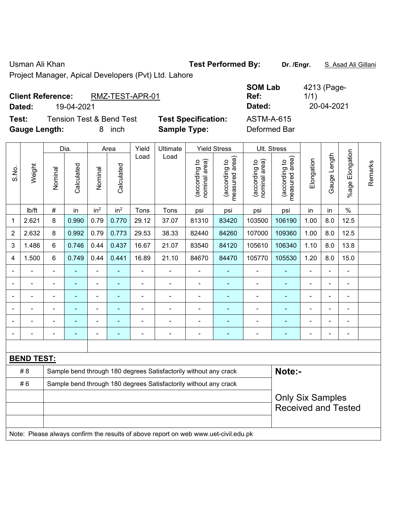$\blacksquare$ 

## Usman Ali Khan **Test Performed By:** Dr. /Engr. **S. Asad Ali Gillani** Ali Ali Annual Ali Gillani

Project Manager, Apical Developers (Pvt) Ltd. Lahore

## **Client Reference:** RMZ-TEST-APR-01

**Dated:** 19-04-2021 **Dated:** 20-04-2021

**Test:** Tension Test & Bend Test **Test Specification:** ASTM-A-615 **Gauge Length:** 8 inch **Sample Type:** Deformed Bar

| SOM Lab        | 4213 (Page-        |
|----------------|--------------------|
| Ref:<br>Dated: | 1/1)<br>20-04-2021 |
| ASTM-A-615     |                    |

|                          |                   |                          | Dia.           |                          | Area            | Yield | Ultimate                                                                            |                                | <b>Yield Stress</b>             |                                | Ult. Stress                     |                            |                |                       |         |
|--------------------------|-------------------|--------------------------|----------------|--------------------------|-----------------|-------|-------------------------------------------------------------------------------------|--------------------------------|---------------------------------|--------------------------------|---------------------------------|----------------------------|----------------|-----------------------|---------|
| S.No.                    | Weight            | Nominal                  | Calculated     | Nominal                  | Calculated      | Load  | Load                                                                                | nominal area)<br>(according to | (according to<br>measured area) | nominal area)<br>(according to | measured area)<br>(according to | Elongation                 | Gauge Length   | Elongation<br>$%$ age | Remarks |
|                          | Ib/ft             | $\#$                     | in             | in <sup>2</sup>          | in <sup>2</sup> | Tons  | Tons                                                                                | psi                            | psi                             | psi                            | psi                             | in                         | in             | $\%$                  |         |
| $\mathbf 1$              | 2.621             | 8                        | 0.990          | 0.79                     | 0.770           | 29.12 | 37.07                                                                               | 81310                          | 83420                           | 103500                         | 106190                          | 1.00                       | 8.0            | 12.5                  |         |
| $\overline{2}$           | 2.632             | 8                        | 0.992          | 0.79                     | 0.773           | 29.53 | 38.33                                                                               | 82440                          | 84260                           | 107000                         | 109360                          | 1.00                       | 8.0            | 12.5                  |         |
| 3                        | 1.486             | $\,6\,$                  | 0.746          | 0.44                     | 0.437           | 16.67 | 21.07                                                                               | 83540                          | 84120                           | 105610                         | 106340                          | 1.10                       | 8.0            | 13.8                  |         |
| 4                        | 1.500             | 6                        | 0.749          | 0.44                     | 0.441           | 16.89 | 21.10                                                                               | 84670                          | 84470                           | 105770                         | 105530                          | 1.20                       | 8.0            | 15.0                  |         |
| $\blacksquare$           |                   | $\overline{\phantom{a}}$ | $\blacksquare$ | $\blacksquare$           | $\blacksquare$  | ÷     | $\blacksquare$                                                                      | $\blacksquare$                 | $\blacksquare$                  | $\overline{\phantom{a}}$       | $\blacksquare$                  | $\blacksquare$             | $\blacksquare$ | $\blacksquare$        |         |
|                          |                   |                          |                | $\blacksquare$           | ä,              | L.    | $\blacksquare$                                                                      | $\blacksquare$                 | ٠                               | $\blacksquare$                 | $\blacksquare$                  |                            |                | $\blacksquare$        |         |
|                          |                   |                          | $\blacksquare$ | $\overline{\phantom{0}}$ |                 |       | $\blacksquare$                                                                      | $\blacksquare$                 | ٠                               | ٠                              | ٠                               |                            |                |                       |         |
| $\blacksquare$           |                   | $\blacksquare$           | $\blacksquare$ | $\blacksquare$           | $\blacksquare$  |       | $\overline{a}$                                                                      | $\blacksquare$                 |                                 | $\blacksquare$                 |                                 |                            |                | $\blacksquare$        |         |
|                          |                   |                          |                | ÷                        |                 |       |                                                                                     | $\blacksquare$                 | ۰                               |                                |                                 |                            |                | $\blacksquare$        |         |
| $\overline{\phantom{0}}$ |                   | $\blacksquare$           |                | ÷                        | $\blacksquare$  | ۰     | $\overline{\phantom{a}}$                                                            | $\blacksquare$                 | $\overline{\phantom{0}}$        | $\blacksquare$                 | $\blacksquare$                  | $\blacksquare$             | $\blacksquare$ | $\blacksquare$        |         |
|                          |                   |                          |                |                          |                 |       |                                                                                     |                                |                                 |                                |                                 |                            |                |                       |         |
|                          | <b>BEND TEST:</b> |                          |                |                          |                 |       |                                                                                     |                                |                                 |                                |                                 |                            |                |                       |         |
|                          | #8                |                          |                |                          |                 |       | Sample bend through 180 degrees Satisfactorily without any crack                    |                                |                                 |                                | Note:-                          |                            |                |                       |         |
|                          | #6                |                          |                |                          |                 |       | Sample bend through 180 degrees Satisfactorily without any crack                    |                                |                                 |                                |                                 |                            |                |                       |         |
|                          |                   |                          |                |                          |                 |       | <b>Only Six Samples</b>                                                             |                                |                                 |                                |                                 |                            |                |                       |         |
|                          |                   |                          |                |                          |                 |       |                                                                                     |                                |                                 |                                |                                 | <b>Received and Tested</b> |                |                       |         |
|                          |                   |                          |                |                          |                 |       |                                                                                     |                                |                                 |                                |                                 |                            |                |                       |         |
|                          |                   |                          |                |                          |                 |       | Note: Please always confirm the results of above report on web www.uet-civil.edu.pk |                                |                                 |                                |                                 |                            |                |                       |         |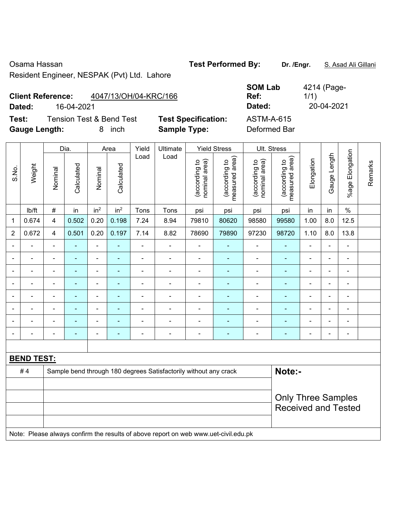Osama Hassan **Test Performed By: Dr. /Engr.** S. Asad Ali Gillani

Resident Engineer, NESPAK (Pvt) Ltd. Lahore

**Client Reference:** 4047/13/OH/04-KRC/166

**Test:** Tension Test & Bend Test **Test Specification:** ASTM-A-615 **Gauge Length:** 8 inch **Sample Type:** Deformed Bar

|                |                   |                            | Dia.       |                          | Area            | Yield          | Ultimate                                                                            |                                | <b>Yield Stress</b>                         |                                | Ult. Stress                     |                |                |                          |         |
|----------------|-------------------|----------------------------|------------|--------------------------|-----------------|----------------|-------------------------------------------------------------------------------------|--------------------------------|---------------------------------------------|--------------------------------|---------------------------------|----------------|----------------|--------------------------|---------|
| S.No.          | Weight            | Nominal                    | Calculated | Nominal                  | Calculated      | Load           | Load                                                                                | nominal area)<br>(according to | (according to<br>neasured area)<br>measured | nominal area)<br>(according to | (according to<br>measured area) | Elongation     | Gauge Length   | Elongation<br>$%$ age    | Remarks |
|                | Ib/ft             | $\#$                       | in         | in <sup>2</sup>          | in <sup>2</sup> | Tons           | Tons                                                                                | psi                            | psi                                         | psi                            | psi                             | in             | in             | $\%$                     |         |
| 1              | 0.674             | $\overline{4}$             | 0.502      | 0.20                     | 0.198           | 7.24           | 8.94                                                                                | 79810                          | 80620                                       | 98580                          | 99580                           | 1.00           | 8.0            | 12.5                     |         |
| $\overline{2}$ | 0.672             | $\overline{4}$             | 0.501      | 0.20                     | 0.197           | 7.14           | 8.82                                                                                | 78690                          | 79890                                       | 97230                          | 98720                           | 1.10           | 8.0            | 13.8                     |         |
|                |                   | $\blacksquare$             | ä,         | ÷,                       | ÷               | $\blacksquare$ | $\overline{\phantom{a}}$                                                            | $\blacksquare$                 | ۰                                           | $\overline{\phantom{0}}$       | ÷,                              | ÷,             | $\blacksquare$ | $\blacksquare$           |         |
|                |                   |                            | ÷,         | ۰                        | ÷               | $\blacksquare$ | $\blacksquare$                                                                      | $\overline{\phantom{a}}$       | ÷                                           | $\blacksquare$                 | $\blacksquare$                  | $\blacksquare$ |                | $\blacksquare$           |         |
|                |                   | $\blacksquare$             | ۰          | $\overline{\phantom{a}}$ | ÷               | $\blacksquare$ | $\blacksquare$                                                                      | $\overline{\phantom{a}}$       | ۰                                           | $\overline{\phantom{a}}$       | $\blacksquare$                  | ÷              | $\blacksquare$ | $\overline{\phantom{a}}$ |         |
|                |                   | $\blacksquare$             | ÷,         | $\blacksquare$           | ۰               | $\blacksquare$ | $\blacksquare$                                                                      | $\blacksquare$                 | ۰                                           | $\blacksquare$                 | $\blacksquare$                  | $\blacksquare$ |                | ÷,                       |         |
|                |                   | $\blacksquare$             | ä,         | $\blacksquare$           | ۰               | ä,             | ÷                                                                                   | $\blacksquare$                 | ä,                                          | $\blacksquare$                 | $\blacksquare$                  | ä,             |                | ä,                       |         |
|                |                   |                            |            | ۰                        |                 |                |                                                                                     |                                |                                             |                                | $\blacksquare$                  |                |                |                          |         |
|                |                   |                            |            | $\blacksquare$           |                 |                | $\blacksquare$                                                                      | $\blacksquare$                 |                                             | $\blacksquare$                 |                                 |                |                | $\overline{\phantom{a}}$ |         |
| $\blacksquare$ |                   | $\blacksquare$             | -          | ۰                        | ÷               | $\blacksquare$ | $\blacksquare$                                                                      | $\overline{\phantom{a}}$       | ÷                                           | $\blacksquare$                 | ٠                               | $\blacksquare$ | $\blacksquare$ | $\blacksquare$           |         |
|                |                   |                            |            |                          |                 |                |                                                                                     |                                |                                             |                                |                                 |                |                |                          |         |
|                | <b>BEND TEST:</b> |                            |            |                          |                 |                |                                                                                     |                                |                                             |                                |                                 |                |                |                          |         |
|                | #4                |                            |            |                          |                 |                | Sample bend through 180 degrees Satisfactorily without any crack                    |                                |                                             |                                | Note:-                          |                |                |                          |         |
|                |                   |                            |            |                          |                 |                |                                                                                     |                                |                                             |                                |                                 |                |                |                          |         |
|                |                   | <b>Only Three Samples</b>  |            |                          |                 |                |                                                                                     |                                |                                             |                                |                                 |                |                |                          |         |
|                |                   | <b>Received and Tested</b> |            |                          |                 |                |                                                                                     |                                |                                             |                                |                                 |                |                |                          |         |
|                |                   |                            |            |                          |                 |                |                                                                                     |                                |                                             |                                |                                 |                |                |                          |         |
|                |                   |                            |            |                          |                 |                | Note: Please always confirm the results of above report on web www.uet-civil.edu.pk |                                |                                             |                                |                                 |                |                |                          |         |

**SOM Lab Ref:**  4214 (Page-1/1) **Dated:** 16-04-2021 **Dated:** 20-04-2021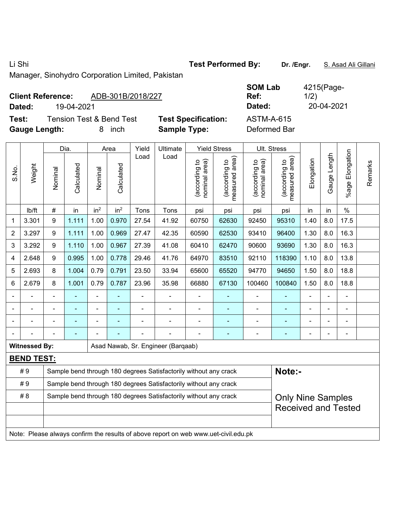Li Shi **Test Performed By: Dr. /Engr.** S. Asad Ali Gillani

Manager, Sinohydro Corporation Limited, Pakistan

## **Client Reference:** ADB-301B/2018/227

**Dated:** 19-04-2021 **Dated:** 20-04-2021

**Test:** Tension Test & Bend Test **Test Specification: Gauge Length:** 8 inch **Sample Type:** Deformed Bar

| <b>SOM Lab</b><br>Ref: | 4215(Page-<br>1/2) |
|------------------------|--------------------|
| Dated:                 | 20-04-2021         |
| <b>ASTM-A-615</b>      |                    |

|                |                      |                | Dia.           |                 | Area            | Yield          | Ultimate                                                                            |                                   | <b>Yield Stress</b>                         |                                | Ult. Stress                     |                |                   |                            |         |  |  |
|----------------|----------------------|----------------|----------------|-----------------|-----------------|----------------|-------------------------------------------------------------------------------------|-----------------------------------|---------------------------------------------|--------------------------------|---------------------------------|----------------|-------------------|----------------------------|---------|--|--|
| S.No.          | Weight               | Nominal        | Calculated     | Nominal         | Calculated      | Load           | Load                                                                                | area)<br>(according to<br>nominal | (according to<br>measured area)<br>measured | (according to<br>nominal area) | (according to<br>measured area) | Elongation     | Length<br>Gauge I | Elongation<br>$%$ age      | Remarks |  |  |
|                | Ib/ft                | $\#$           | in             | in <sup>2</sup> | in <sup>2</sup> | Tons           | Tons                                                                                | psi                               | psi                                         | psi                            | psi                             | in             | in                | $\%$                       |         |  |  |
| 1              | 3.301                | 9              | 1.111          | 1.00            | 0.970           | 27.54          | 41.92                                                                               | 60750                             | 62630                                       | 92450                          | 95310                           | 1.40           | 8.0               | 17.5                       |         |  |  |
| $\overline{2}$ | 3.297                | 9              | 1.111          | 1.00            | 0.969           | 27.47          | 42.35                                                                               | 60590                             | 62530                                       | 93410                          | 96400                           | 1.30           | 8.0               | 16.3                       |         |  |  |
| 3              | 3.292                | 9              | 1.110          | 1.00            | 0.967           | 27.39          | 41.08                                                                               | 60410                             | 62470                                       | 90600                          | 93690                           | 1.30           | 8.0               | 16.3                       |         |  |  |
| 4              | 2.648                | 9              | 0.995          | 1.00            | 0.778           | 29.46          | 41.76                                                                               | 64970                             | 83510                                       | 92110                          | 118390                          | 1.10           | 8.0               | 13.8                       |         |  |  |
| 5              | 2.693                | 8              | 1.004          | 0.79            | 0.791           | 23.50          | 33.94                                                                               | 65600                             | 65520                                       | 94770                          | 94650                           | 1.50           | 8.0               | 18.8                       |         |  |  |
| 6              | 2.679                | 8              | 1.001          | 0.79            | 0.787           | 23.96          | 35.98                                                                               | 66880                             | 67130                                       | 100460                         | 100840                          | 1.50           | 8.0               | 18.8                       |         |  |  |
|                |                      | $\blacksquare$ | $\blacksquare$ | ä,              | ÷               | $\blacksquare$ |                                                                                     | $\overline{\phantom{a}}$          | $\blacksquare$                              | $\blacksquare$                 | $\blacksquare$                  | $\blacksquare$ |                   | ÷,                         |         |  |  |
|                |                      |                | $\blacksquare$ | ä,              | ÷               | ä,             | $\blacksquare$                                                                      | $\blacksquare$                    | $\blacksquare$                              | $\blacksquare$                 | ÷,                              |                |                   | $\blacksquare$             |         |  |  |
|                |                      |                |                |                 |                 |                |                                                                                     | $\blacksquare$                    |                                             |                                |                                 |                |                   |                            |         |  |  |
|                |                      |                |                |                 |                 |                |                                                                                     |                                   |                                             |                                |                                 |                |                   | $\blacksquare$             |         |  |  |
|                | <b>Witnessed By:</b> |                |                |                 |                 |                | Asad Nawab, Sr. Engineer (Barqaab)                                                  |                                   |                                             |                                |                                 |                |                   |                            |         |  |  |
|                | <b>BEND TEST:</b>    |                |                |                 |                 |                |                                                                                     |                                   |                                             |                                |                                 |                |                   |                            |         |  |  |
|                | #9                   |                |                |                 |                 |                | Sample bend through 180 degrees Satisfactorily without any crack                    |                                   |                                             |                                | Note:-                          |                |                   |                            |         |  |  |
|                | #9                   |                |                |                 |                 |                | Sample bend through 180 degrees Satisfactorily without any crack                    |                                   |                                             |                                |                                 |                |                   |                            |         |  |  |
|                | #8                   |                |                |                 |                 |                | Sample bend through 180 degrees Satisfactorily without any crack                    |                                   |                                             |                                | <b>Only Nine Samples</b>        |                |                   |                            |         |  |  |
|                |                      |                |                |                 |                 |                |                                                                                     |                                   |                                             |                                |                                 |                |                   | <b>Received and Tested</b> |         |  |  |
|                |                      |                |                |                 |                 |                |                                                                                     |                                   |                                             |                                |                                 |                |                   |                            |         |  |  |
|                |                      |                |                |                 |                 |                | Note: Please always confirm the results of above report on web www.uet-civil.edu.pk |                                   |                                             |                                |                                 |                |                   |                            |         |  |  |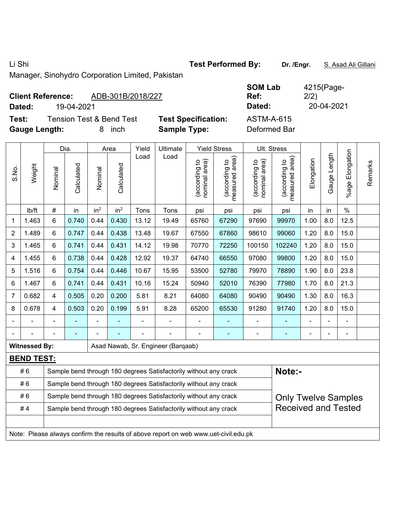Li Shi **Test Performed By: Dr. /Engr.** S. Asad Ali Gillani

Manager, Sinohydro Corporation Limited, Pakistan

| ADB-301B/2018/227<br><b>Client Reference:</b> |                            | <b>SOM Lab</b><br>Ref: | 4215(Page-<br>2/2) |
|-----------------------------------------------|----------------------------|------------------------|--------------------|
| 19-04-2021<br>Dated:                          |                            | Dated:                 | 20-04-2021         |
| <b>Tension Test &amp; Bend Test</b><br>Test:  | <b>Test Specification:</b> | <b>ASTM-A-615</b>      |                    |
| <b>Gauge Length:</b><br>inch                  | <b>Sample Type:</b>        | Deformed Bar           |                    |

|                |                      |                                                                                                | Dia.       |                 | Area            | Yield | Ultimate                                                                            |                                | <b>Yield Stress</b>                         |                                | Ult. Stress                     |                |              |                       |         |
|----------------|----------------------|------------------------------------------------------------------------------------------------|------------|-----------------|-----------------|-------|-------------------------------------------------------------------------------------|--------------------------------|---------------------------------------------|--------------------------------|---------------------------------|----------------|--------------|-----------------------|---------|
| S.No.          | Weight               | Nominal                                                                                        | Calculated | Nominal         | Calculated      | Load  | Load                                                                                | nominal area)<br>(according to | (according to<br>measured area)<br>measured | nominal area)<br>(according to | measured area)<br>(according to | Elongation     | Gauge Length | Elongation<br>$%$ age | Remarks |
|                | lb/ft                | $\#$                                                                                           | in         | in <sup>2</sup> | in <sup>2</sup> | Tons  | Tons                                                                                | psi                            | psi                                         | psi                            | psi                             | in             | in           | $\%$                  |         |
| 1              | 1.463                | 6                                                                                              | 0.740      | 0.44            | 0.430           | 13.12 | 19.49                                                                               | 65760                          | 67290                                       | 97690                          | 99970                           | 1.00           | 8.0          | 12.5                  |         |
| $\overline{2}$ | 1.489                | 6                                                                                              | 0.747      | 0.44            | 0.438           | 13.48 | 19.67                                                                               | 67550                          | 67860                                       | 98610                          | 99060                           | 1.20           | 8.0          | 15.0                  |         |
| 3              | 1.465                | 6                                                                                              | 0.741      | 0.44            | 0.431           | 14.12 | 19.98                                                                               | 70770                          | 72250                                       | 100150                         | 102240                          | 1.20           | 8.0          | 15.0                  |         |
| $\overline{4}$ | 1.455                | 6                                                                                              | 0.738      | 0.44            | 0.428           | 12.92 | 19.37                                                                               | 64740                          | 66550                                       | 97080                          | 99800                           | 1.20           | 8.0          | 15.0                  |         |
| 5              | 1.516                | 6                                                                                              | 0.754      | 0.44            | 0.446           | 10.67 | 15.95                                                                               | 53500                          | 52780                                       | 79970                          | 78890                           | 1.90           | 8.0          | 23.8                  |         |
| 6              | 1.467                | 6                                                                                              | 0.741      | 0.44            | 0.431           | 10.16 | 15.24                                                                               | 50940                          | 52010                                       | 76390                          | 8.0<br>21.3<br>77980<br>1.70    |                |              |                       |         |
| $\overline{7}$ | 0.682                | 4                                                                                              | 0.505      | 0.20            | 0.200           | 5.81  | 8.21                                                                                | 64080                          | 64080                                       | 90490                          | 90490                           | 1.30           | 8.0          | 16.3                  |         |
| 8              | 0.678                | 4                                                                                              | 0.503      | 0.20            | 0.199           | 5.91  | 8.28                                                                                | 65200                          | 65530                                       | 91280                          | 91740                           | 1.20           | 8.0          | 15.0                  |         |
|                |                      |                                                                                                |            |                 |                 |       |                                                                                     |                                |                                             |                                |                                 |                |              |                       |         |
|                |                      |                                                                                                |            |                 |                 |       |                                                                                     |                                | $\blacksquare$                              | $\overline{a}$                 | $\blacksquare$                  | $\blacksquare$ |              | $\blacksquare$        |         |
|                | <b>Witnessed By:</b> |                                                                                                |            |                 |                 |       | Asad Nawab, Sr. Engineer (Barqaab)                                                  |                                |                                             |                                |                                 |                |              |                       |         |
|                | <b>BEND TEST:</b>    |                                                                                                |            |                 |                 |       |                                                                                     |                                |                                             |                                |                                 |                |              |                       |         |
|                | #6                   |                                                                                                |            |                 |                 |       | Sample bend through 180 degrees Satisfactorily without any crack                    |                                |                                             |                                | Note:-                          |                |              |                       |         |
|                | #6                   |                                                                                                |            |                 |                 |       | Sample bend through 180 degrees Satisfactorily without any crack                    |                                |                                             |                                |                                 |                |              |                       |         |
|                | #6                   |                                                                                                |            |                 |                 |       | Sample bend through 180 degrees Satisfactorily without any crack                    |                                |                                             |                                | <b>Only Twelve Samples</b>      |                |              |                       |         |
|                | #4                   | <b>Received and Tested</b><br>Sample bend through 180 degrees Satisfactorily without any crack |            |                 |                 |       |                                                                                     |                                |                                             |                                |                                 |                |              |                       |         |
|                |                      |                                                                                                |            |                 |                 |       | Note: Please always confirm the results of above report on web www.uet-civil.edu.pk |                                |                                             |                                |                                 |                |              |                       |         |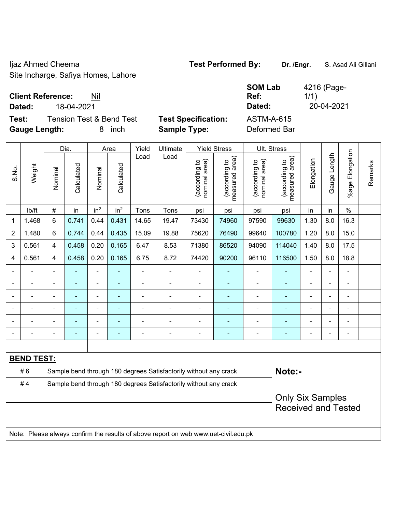Ijaz Ahmed Cheema **Test Performed By: Dr. /Engr.** S. Asad Ali Gillani Site Incharge, Safiya Homes, Lahore

|                   | <b>SOM Lab</b>    | 4216 (Page- |
|-------------------|-------------------|-------------|
|                   | Ref:              | 1/1)        |
|                   | Dated:            | 20-04-2021  |
| st Specification: | <b>ASTM-A-615</b> |             |
|                   |                   |             |

**Client Reference:** Nil **Dated:** 18-04-2021 **Dated:** 20-04-2021

**Test:** Tension Test & Bend Test Test **Gauge Length:** 8 inch **Sample Type:** Deformed Bar

|                          |                   |                          | Dia.                                                             |                          | Area            | Yield | Ultimate                                                         |                                | <b>Yield Stress</b>             | Ult. Stress                    |                                    |                |                 |                       |         |
|--------------------------|-------------------|--------------------------|------------------------------------------------------------------|--------------------------|-----------------|-------|------------------------------------------------------------------|--------------------------------|---------------------------------|--------------------------------|------------------------------------|----------------|-----------------|-----------------------|---------|
| S.No.                    | Weight            | Nominal                  | Calculated                                                       | Nominal                  | Calculated      | Load  | Load                                                             | nominal area)<br>(according to | measured area)<br>(according to | nominal area)<br>(according to | area)<br>(according to<br>measured | Elongation     | Length<br>Gauge | Elongation<br>$%$ age | Remarks |
|                          | lb/ft             | $\#$                     | in                                                               | in <sup>2</sup>          | in <sup>2</sup> | Tons  | Tons                                                             | psi                            | psi                             | psi                            | psi                                | in             | in              | $\%$                  |         |
| $\mathbf 1$              | 1.468             | $\,6\,$                  | 0.741                                                            | 0.44                     | 0.431           | 14.65 | 19.47                                                            | 73430                          | 74960                           | 97590                          | 99630                              | 1.30           | 8.0             | 16.3                  |         |
| $\sqrt{2}$               | 1.480             | $\,6\,$                  | 0.744                                                            | 0.44                     | 0.435           | 15.09 | 19.88                                                            | 75620                          | 76490                           | 99640                          | 100780                             | 1.20           | 8.0             | 15.0                  |         |
| 3                        | 0.561             | $\overline{\mathcal{A}}$ | 0.458                                                            | 0.20                     | 0.165           | 6.47  | 8.53                                                             | 71380                          | 86520                           | 94090                          | 114040                             | 1.40           | 8.0             | 17.5                  |         |
| 4                        | 0.561             | 4                        | 0.458                                                            | 0.20                     | 0.165           | 6.75  | 8.72                                                             | 74420                          | 90200                           | 96110                          | 116500                             | 1.50           | 8.0             | 18.8                  |         |
| $\overline{\phantom{a}}$ |                   |                          |                                                                  |                          |                 |       | $\overline{a}$                                                   | $\overline{\phantom{a}}$       |                                 |                                |                                    |                |                 |                       |         |
|                          |                   |                          |                                                                  |                          |                 |       |                                                                  |                                |                                 |                                |                                    |                |                 |                       |         |
|                          |                   |                          |                                                                  |                          | $\blacksquare$  |       | $\blacksquare$                                                   | $\blacksquare$                 | ٠                               | $\blacksquare$                 | $\blacksquare$                     | $\blacksquare$ | $\blacksquare$  | $\blacksquare$        |         |
| $\overline{\phantom{a}}$ | ÷                 | $\overline{\phantom{0}}$ |                                                                  | $\overline{\phantom{0}}$ | ٠               |       | $\blacksquare$                                                   | $\overline{a}$                 | ÷                               | -                              | ۰                                  | $\blacksquare$ | ÷               | $\blacksquare$        |         |
| $\overline{\phantom{a}}$ | $\blacksquare$    |                          |                                                                  |                          |                 |       | $\blacksquare$                                                   | $\blacksquare$                 |                                 |                                |                                    | $\blacksquare$ | $\blacksquare$  | $\blacksquare$        |         |
|                          |                   |                          |                                                                  |                          |                 |       | ٠                                                                | -                              |                                 |                                | ٠                                  | $\overline{a}$ | $\overline{a}$  | $\overline{a}$        |         |
|                          |                   |                          |                                                                  |                          |                 |       |                                                                  |                                |                                 |                                |                                    |                |                 |                       |         |
|                          | <u>BEND TEST:</u> |                          |                                                                  |                          |                 |       |                                                                  |                                |                                 |                                |                                    |                |                 |                       |         |
|                          | #6                |                          |                                                                  |                          |                 |       | Sample bend through 180 degrees Satisfactorily without any crack |                                |                                 |                                | Note:-                             |                |                 |                       |         |
|                          | #4                |                          | Sample bend through 180 degrees Satisfactorily without any crack |                          |                 |       |                                                                  |                                |                                 |                                |                                    |                |                 |                       |         |

Note: Please always confirm the results of above report on web www.uet-civil.edu.pk

Only Six Samples Received and Tested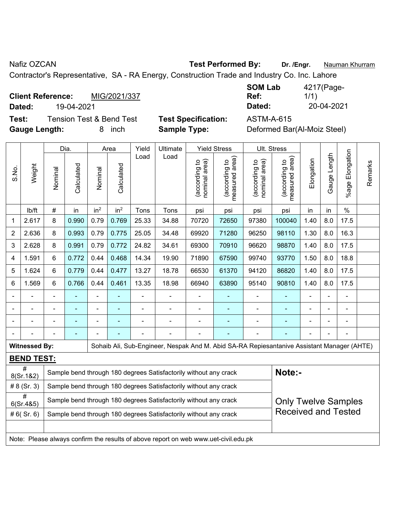S.No.

#

Nafiz OZCAN **Test Performed By: Dr. /Engr.** Nauman Khurram

Contractor's Representative, SA - RA Energy, Construction Trade and Industry Co. Inc. Lahore

**Client Reference:** MIG/2021/337 **Dated:** 19-04-2021 **Dated:** 20-04-2021

**Test:** Tension Test & Bend Test **Test Specification:** ASTM-A-615 **Gauge Length:** 8 inch **Sample Type:** Deformed Bar(Al-Moiz Steel)

| <b>SOM Lab</b> | 4217(Page- |
|----------------|------------|
| Ref:           | 1/1)       |
| Dated:         | 20-04-2021 |

Dia. | Area | Yield | Ultimate | Yield Stress | Ult. Stress %age Elongation %age Elongation Gauge Length Load Load Gauge Length (according to<br>measured area) measured area) measured area) (according to<br>nominal area) (according to<br>nominal area) (according to<br>measured area) **Elongation** nominal area) nominal area) Elongation (according to (according to (according to (according to Remarks Remarks **Calculated Calculated** Weight Calculated Calculated Nominal Nominal Vominal Vominal <code>ib/ft</code>  $\mid$  #  $\mid$  in  $\mid$  in<sup>2</sup>  $\mid$  in<sup>2</sup>  $\mid$  Tons  $\mid$  psi  $\mid$  psi  $\mid$  psi  $\mid$  psi  $\mid$  in  $\mid$  in  $\mid$  % 1 | 2.617 | 8 | 0.990 | 0.79 | 0.769 | 25.33 | 34.88 | 70720 | 72650 | 97380 | 100040 | 1.40 | 8.0 | 17.5 2 | 2.636 | 8 | 0.993 | 0.79 | 0.775 | 25.05 | 34.48 | 69920 | 71280 | 96250 | 98110 | 1.30 | 8.0 | 16.3 3 | 2.628 | 8 | 0.991 | 0.79 | 0.772 | 24.82 | 34.61 | 69300 | 70910 | 96620 | 98870 | 1.40 | 8.0 | 17.5 4 | 1.591 | 6 | 0.772 | 0.44 | 0.468 | 14.34 | 19.90 | 71890 | 67590 | 99740 | 93770 | 1.50 | 8.0 | 18.8 5 | 1.624 | 6 | 0.779 | 0.44 | 0.477 | 13.27 | 18.78 | 66530 | 61370 | 94120 | 86820 | 1.40 | 8.0 | 17.5 6 | 1.569 | 6 | 0.766 | 0.44 | 0.461 | 13.35 | 18.98 | 66940 | 63890 | 95140 | 90810 | 1.40 | 8.0 | 17.5 - - - - - - - - - - - - - - - - - - - - - - - - - - - - - - - - - - - - - - - - - - - - - - - - - - - - - - - - - - - - **Witnessed By: Sohaib Ali, Sub-Engineer, Nespak And M. Abid SA-RA Repiesantanive Assistant Manager (AHTE) BEND TEST:**  #<br>8(Sr.1&2) Sample bend through 180 degrees Satisfactorily without any crack **Note:**-# 8 (Sr. 3) Sample bend through 180 degrees Satisfactorily without any crack  $\sigma$  Sample bend through 180 degrees Satisfactorily without any crack Only Twelve Samples Received and Tested  $\# 6(Sr. 6)$  Sample bend through 180 degrees Satisfactorily without any crack

Note: Please always confirm the results of above report on web www.uet-civil.edu.pk